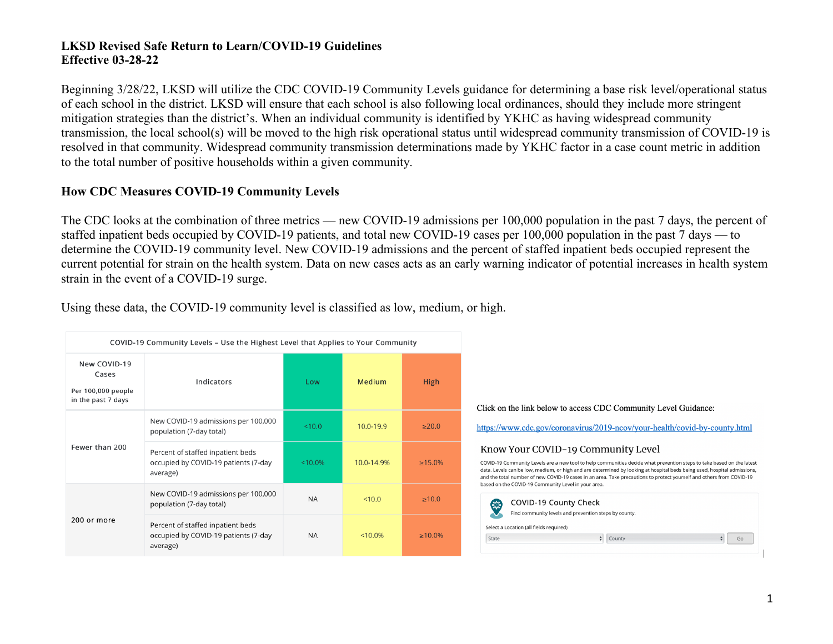Beginning 3/28/22, LKSD will utilize the CDC COVID-19 Community Levels guidance for determining a base risk level/operational status of each school in the district. LKSD will ensure that each school is also following local ordinances, should they include more stringent mitigation strategies than the district's. When an individual community is identified by YKHC as having widespread community transmission, the local school(s) will be moved to the high risk operational status until widespread community transmission of COVID-19 is resolved in that community. Widespread community transmission determinations made by YKHC factor in a case count metric in addition to the total number of positive households within a given community.

#### **How CDC Measures COVID-19 Community Levels**

The CDC looks at the combination of three metrics — new COVID-19 admissions per 100,000 population in the past 7 days, the percent of staffed inpatient beds occupied by COVID-19 patients, and total new COVID-19 cases per 100,000 population in the past 7 days — to determine the COVID-19 community level. New COVID-19 admissions and the percent of staffed inpatient beds occupied represent the current potential for strain on the health system. Data on new cases acts as an early warning indicator of potential increases in health system strain in the event of a COVID-19 surge.

| Using these data, the COVID-19 community level is classified as low, medium, or high. |  |  |  |
|---------------------------------------------------------------------------------------|--|--|--|
|                                                                                       |  |  |  |

| COVID-19 Community Levels - Use the Highest Level that Applies to Your Community |                                                                                       |            |            |             |
|----------------------------------------------------------------------------------|---------------------------------------------------------------------------------------|------------|------------|-------------|
| New COVID-19<br>Cases<br>Per 100,000 people<br>in the past 7 days                | Indicators                                                                            | Low        | Medium     | <b>High</b> |
| Fewer than 200                                                                   | New COVID-19 admissions per 100,000<br>population (7-day total)                       | < 10.0     | 10.0-19.9  | >20.0       |
|                                                                                  | Percent of staffed inpatient beds<br>occupied by COVID-19 patients (7-day<br>average) | $< 10.0\%$ | 10.0-14.9% | $>15.0\%$   |
| 200 or more                                                                      | New COVID-19 admissions per 100,000<br>population (7-day total)                       | <b>NA</b>  | < 10.0     | >10.0       |
|                                                                                  | Percent of staffed inpatient beds<br>occupied by COVID-19 patients (7-day<br>average) | <b>NA</b>  | $< 10.0\%$ | $>10.0\%$   |

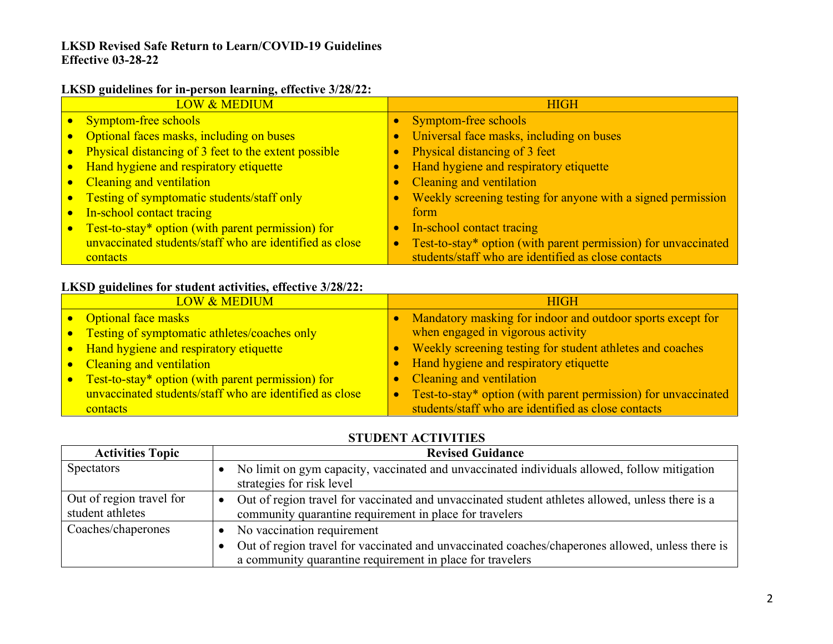#### **LKSD guidelines for in-person learning, effective 3/28/22:**

| <b>LOW &amp; MEDIUM</b>                                 | <b>HIGH</b>                                                                 |
|---------------------------------------------------------|-----------------------------------------------------------------------------|
| <b>Symptom-free schools</b>                             | Symptom-free schools                                                        |
| Optional faces masks, including on buses                | Universal face masks, including on buses                                    |
| Physical distancing of 3 feet to the extent possible    | Physical distancing of 3 feet                                               |
| • Hand hygiene and respiratory etiquette                | Hand hygiene and respiratory etiquette                                      |
| • Cleaning and ventilation                              | Cleaning and ventilation                                                    |
| Testing of symptomatic students/staff only              | Weekly screening testing for anyone with a signed permission                |
| In-school contact tracing                               | form                                                                        |
| Test-to-stay* option (with parent permission) for       | In-school contact tracing                                                   |
| unvaccinated students/staff who are identified as close | Test-to-stay* option (with parent permission) for unvaccinated<br>$\bullet$ |
| contacts                                                | students/staff who are identified as close contacts                         |

## **LKSD guidelines for student activities, effective 3/28/22:**

| <b>LOW &amp; MEDIUM</b>                                 | <b>HIGH</b>                                                                 |
|---------------------------------------------------------|-----------------------------------------------------------------------------|
| • Optional face masks                                   | Mandatory masking for indoor and outdoor sports except for                  |
| • Testing of symptomatic athletes/coaches only          | when engaged in vigorous activity                                           |
| • Hand hygiene and respiratory etiquette                | Weekly screening testing for student athletes and coaches                   |
| • Cleaning and ventilation                              | • Hand hygiene and respiratory etiquette                                    |
| • Test-to-stay* option (with parent permission) for     | Cleaning and ventilation<br>$\bullet$                                       |
| unvaccinated students/staff who are identified as close | Test-to-stay* option (with parent permission) for unvaccinated<br>$\bullet$ |
| <b>contacts</b>                                         | students/staff who are identified as close contacts                         |

# **STUDENT ACTIVITIES**

| <b>Activities Topic</b>                      | <b>Revised Guidance</b>                                                                                                                                                                     |
|----------------------------------------------|---------------------------------------------------------------------------------------------------------------------------------------------------------------------------------------------|
| <b>Spectators</b>                            | No limit on gym capacity, vaccinated and unvaccinated individuals allowed, follow mitigation<br>strategies for risk level                                                                   |
| Out of region travel for<br>student athletes | Out of region travel for vaccinated and unvaccinated student athletes allowed, unless there is a<br>$\bullet$<br>community quarantine requirement in place for travelers                    |
| Coaches/chaperones                           | No vaccination requirement<br>Out of region travel for vaccinated and unvaccinated coaches/chaperones allowed, unless there is<br>a community quarantine requirement in place for travelers |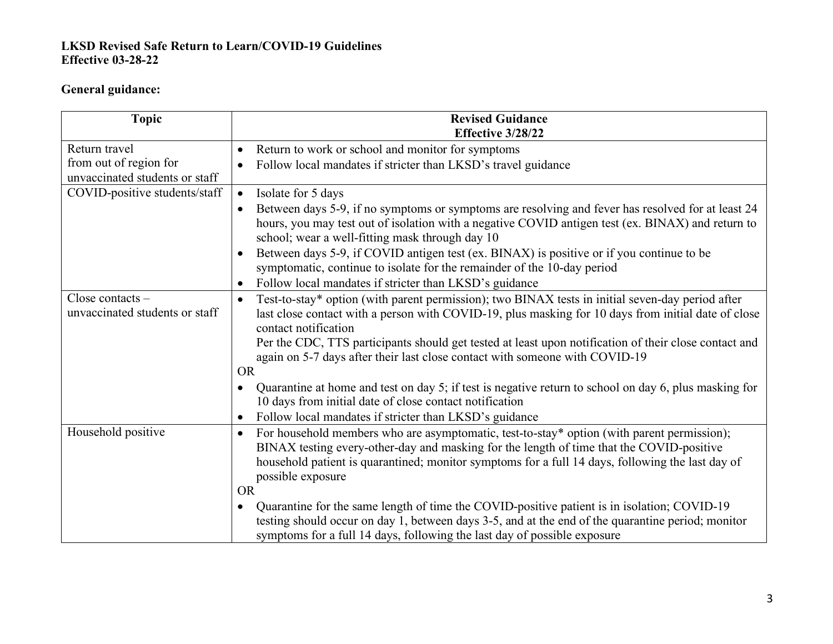# **General guidance:**

| <b>Topic</b>                                         | <b>Revised Guidance</b><br>Effective 3/28/22                                                                                                                                                                                                                                                                                             |
|------------------------------------------------------|------------------------------------------------------------------------------------------------------------------------------------------------------------------------------------------------------------------------------------------------------------------------------------------------------------------------------------------|
| Return travel                                        | Return to work or school and monitor for symptoms                                                                                                                                                                                                                                                                                        |
| from out of region for                               | Follow local mandates if stricter than LKSD's travel guidance                                                                                                                                                                                                                                                                            |
| unvaccinated students or staff                       |                                                                                                                                                                                                                                                                                                                                          |
| COVID-positive students/staff                        | Isolate for 5 days<br>$\bullet$                                                                                                                                                                                                                                                                                                          |
|                                                      | Between days 5-9, if no symptoms or symptoms are resolving and fever has resolved for at least 24<br>hours, you may test out of isolation with a negative COVID antigen test (ex. BINAX) and return to<br>school; wear a well-fitting mask through day 10                                                                                |
|                                                      | Between days 5-9, if COVID antigen test (ex. BINAX) is positive or if you continue to be<br>symptomatic, continue to isolate for the remainder of the 10-day period                                                                                                                                                                      |
|                                                      | Follow local mandates if stricter than LKSD's guidance                                                                                                                                                                                                                                                                                   |
| Close contacts $-$<br>unvaccinated students or staff | Test-to-stay* option (with parent permission); two BINAX tests in initial seven-day period after<br>last close contact with a person with COVID-19, plus masking for 10 days from initial date of close<br>contact notification<br>Per the CDC, TTS participants should get tested at least upon notification of their close contact and |
|                                                      | again on 5-7 days after their last close contact with someone with COVID-19                                                                                                                                                                                                                                                              |
|                                                      | <b>OR</b>                                                                                                                                                                                                                                                                                                                                |
|                                                      | Quarantine at home and test on day 5; if test is negative return to school on day 6, plus masking for<br>10 days from initial date of close contact notification                                                                                                                                                                         |
|                                                      | Follow local mandates if stricter than LKSD's guidance<br>$\bullet$                                                                                                                                                                                                                                                                      |
| Household positive                                   | For household members who are asymptomatic, test-to-stay* option (with parent permission);<br>BINAX testing every-other-day and masking for the length of time that the COVID-positive<br>household patient is quarantined; monitor symptoms for a full 14 days, following the last day of<br>possible exposure<br><b>OR</b>             |
|                                                      | Quarantine for the same length of time the COVID-positive patient is in isolation; COVID-19                                                                                                                                                                                                                                              |
|                                                      | testing should occur on day 1, between days 3-5, and at the end of the quarantine period; monitor<br>symptoms for a full 14 days, following the last day of possible exposure                                                                                                                                                            |